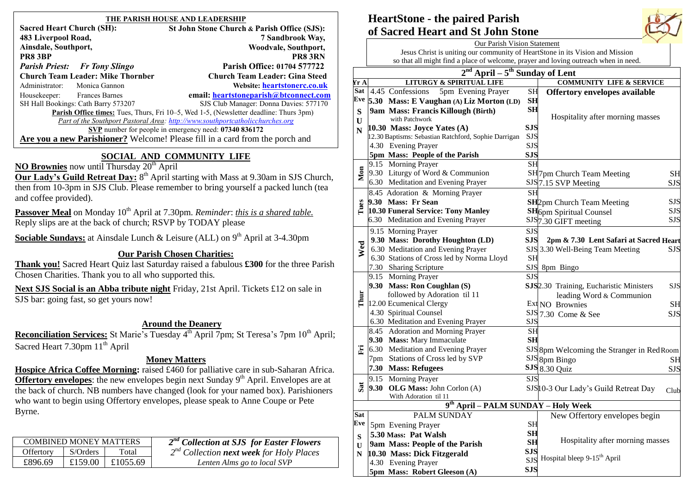| THE PARISH HOUSE AND LEADERSHIP                                                                                                                                                                                                                                                                                                                                                                                         |                                      |                                                                                              |  |  |  |  |  |
|-------------------------------------------------------------------------------------------------------------------------------------------------------------------------------------------------------------------------------------------------------------------------------------------------------------------------------------------------------------------------------------------------------------------------|--------------------------------------|----------------------------------------------------------------------------------------------|--|--|--|--|--|
| <b>Sacred Heart Church (SH):</b>                                                                                                                                                                                                                                                                                                                                                                                        |                                      | St John Stone Church & Parish Office (SJS):                                                  |  |  |  |  |  |
| 483 Liverpool Road,                                                                                                                                                                                                                                                                                                                                                                                                     |                                      | 7 Sandbrook Way,                                                                             |  |  |  |  |  |
| Ainsdale, Southport,                                                                                                                                                                                                                                                                                                                                                                                                    |                                      | Woodvale, Southport,                                                                         |  |  |  |  |  |
| PR8 3BP                                                                                                                                                                                                                                                                                                                                                                                                                 |                                      | <b>PR8 3RN</b>                                                                               |  |  |  |  |  |
|                                                                                                                                                                                                                                                                                                                                                                                                                         | <b>Parish Priest:</b> Fr Tony Slingo | Parish Office: 01704 577722                                                                  |  |  |  |  |  |
| <b>Church Team Leader: Mike Thornber</b>                                                                                                                                                                                                                                                                                                                                                                                |                                      | <b>Church Team Leader: Gina Steed</b>                                                        |  |  |  |  |  |
|                                                                                                                                                                                                                                                                                                                                                                                                                         | Administrator: Monica Gannon         | Website: heartstonerc.co.uk                                                                  |  |  |  |  |  |
| Housekeeper: Frances Barnes                                                                                                                                                                                                                                                                                                                                                                                             |                                      | email: heartstoneparish@btconnect.com                                                        |  |  |  |  |  |
| SH Hall Bookings: Cath Barry 573207                                                                                                                                                                                                                                                                                                                                                                                     |                                      | SJS Club Manager: Donna Davies: 577170                                                       |  |  |  |  |  |
|                                                                                                                                                                                                                                                                                                                                                                                                                         |                                      | <b>Parish Office times:</b> Tues, Thurs, Fri 10–5, Wed 1-5, (Newsletter deadline: Thurs 3pm) |  |  |  |  |  |
| Part of the Southport Pastoral Area: http://www.southportcatholicchurches.org                                                                                                                                                                                                                                                                                                                                           |                                      |                                                                                              |  |  |  |  |  |
| SVP number for people in emergency need: 07340 836172                                                                                                                                                                                                                                                                                                                                                                   |                                      |                                                                                              |  |  |  |  |  |
| Are you a new Parishioner? Welcome! Please fill in a card from the porch and                                                                                                                                                                                                                                                                                                                                            |                                      |                                                                                              |  |  |  |  |  |
| SOCIAL AND COMMUNITY LIFE<br>$\mathbf{M}\Omega$ <b>p</b> $\mathbf{D}$ $\mathbf{M}$ <b>p</b> $\mathbf{M}$ <b>p</b> $\mathbf{M}$ <b>p</b> $\mathbf{M}$ <b>p</b> $\mathbf{M}$ <b>p</b> $\mathbf{M}$ <b>p</b> $\mathbf{M}$ <b>p</b> $\mathbf{M}$ <b>p</b> $\mathbf{M}$ <b>p</b> $\mathbf{M}$ <b>p</b> $\mathbf{M}$ <b>p</b> $\mathbf{M}$ <b>p</b> $\mathbf{M}$ <b>p</b> $\mathbf{M}$ <b>p</b> $\mathbf{M}$ <b>p</b> $\math$ |                                      |                                                                                              |  |  |  |  |  |

**NO Brownies** now until Thursday 20<sup>th</sup> April

**Our Lady's Guild Retreat Day:** 8<sup>th</sup> April starting with Mass at 9.30am in SJS Church, then from 10-3pm in SJS Club. Please remember to bring yourself a packed lunch (tea and coffee provided).

**Passover Meal** on Monday 10<sup>th</sup> April at 7.30pm. *Reminder: this is a shared table.* Reply slips are at the back of church; RSVP by TODAY please

**Sociable Sundays:** at Ainsdale Lunch & Leisure (ALL) on 9<sup>th</sup> April at 3-4.30pm

# **Our Parish Chosen Charities:**

**Thank you!** Sacred Heart Quiz last Saturday raised a fabulous **£300** for the three Parish Chosen Charities. Thank you to all who supported this.

**Next SJS Social is an Abba tribute night** Friday, 21st April. Tickets £12 on sale in SJS bar: going fast, so get yours now!

# **Around the Deanery**

Reconciliation Services: St Marie's Tuesday 4<sup>th</sup> April 7pm; St Teresa's 7pm 10<sup>th</sup> April; Sacred Heart 7.30pm 11<sup>th</sup> April

## **Money Matters**

**Hospice Africa Coffee Morning:** raised £460 for palliative care in sub-Saharan Africa. **Offertory envelopes:** the new envelopes begin next Sunday 9<sup>th</sup> April. Envelopes are at the back of church. NB numbers have changed (look for your named box). Parishioners who want to begin using Offertory envelopes, please speak to Anne Coupe or Pete Byrne.

| <b>COMBINED MONEY MATTERS</b> |          |          | $2nd$ Collection at SJS for Easter Flowers           |
|-------------------------------|----------|----------|------------------------------------------------------|
| Offertory                     | S/Orders | Total    | $2^{nd}$ Collection <b>next</b> week for Holy Places |
| £896.69                       | £159.00  | £1055.69 | Lenten Alms go to local SVP                          |
|                               |          |          |                                                      |

# **HeartStone - the paired Parish of Sacred Heart and St John Stone**

|                         |                                                                                     | <b>Our Parish Vision Statement</b>                                            |                        |                                                                   |  |  |  |  |  |
|-------------------------|-------------------------------------------------------------------------------------|-------------------------------------------------------------------------------|------------------------|-------------------------------------------------------------------|--|--|--|--|--|
|                         |                                                                                     | Jesus Christ is uniting our community of HeartStone in its Vision and Mission |                        |                                                                   |  |  |  |  |  |
|                         | so that all might find a place of welcome, prayer and loving outreach when in need. |                                                                               |                        |                                                                   |  |  |  |  |  |
|                         | $\overline{\text{April} - 5^{\text{th}}}$ Sunday of Lent<br>2 <sup>nd</sup>         |                                                                               |                        |                                                                   |  |  |  |  |  |
| Yr A                    |                                                                                     | <b>LITURGY &amp; SPIRITUAL LIFE</b>                                           |                        | <b>COMMUNITY LIFE &amp; SERVICE</b>                               |  |  |  |  |  |
| Sat                     |                                                                                     | 4.45 Confessions<br>5pm Evening Prayer                                        | <b>SH</b>              | <b>Offertory envelopes available</b>                              |  |  |  |  |  |
| Eve                     |                                                                                     | 5.30 Mass: E Vaughan (A) Liz Morton (LD)                                      | SH                     |                                                                   |  |  |  |  |  |
| S                       |                                                                                     | 9am Mass: Francis Killough (Birth)                                            | SH                     |                                                                   |  |  |  |  |  |
| U                       |                                                                                     | with Patchwork                                                                |                        | Hospitality after morning masses                                  |  |  |  |  |  |
| N                       |                                                                                     | 10.30 Mass: Joyce Yates (A)                                                   | <b>SJS</b>             |                                                                   |  |  |  |  |  |
|                         |                                                                                     | 12.30 Baptisms: Sebastian Ratchford, Sophie Darrigan                          | <b>SJS</b>             |                                                                   |  |  |  |  |  |
|                         |                                                                                     | 4.30 Evening Prayer                                                           | <b>SJS</b>             |                                                                   |  |  |  |  |  |
|                         |                                                                                     | 5pm Mass: People of the Parish                                                | <b>SJS</b>             |                                                                   |  |  |  |  |  |
|                         |                                                                                     | 9.15 Morning Prayer                                                           | <b>SH</b>              |                                                                   |  |  |  |  |  |
| Mon                     |                                                                                     | 9.30 Liturgy of Word & Communion                                              |                        | SH7pm Church Team Meeting<br><b>SH</b>                            |  |  |  |  |  |
|                         |                                                                                     | 6.30 Meditation and Evening Prayer                                            |                        | SJS <sup>7.15</sup> SVP Meeting<br><b>SJS</b>                     |  |  |  |  |  |
|                         |                                                                                     | 8.45 Adoration & Morning Prayer                                               | <b>SH</b>              |                                                                   |  |  |  |  |  |
| Tues                    |                                                                                     | 9.30 Mass: Fr Sean                                                            |                        | <b>SJS</b><br><b>SH</b> <sub>2pm</sub> Church Team Meeting        |  |  |  |  |  |
|                         |                                                                                     | 10.30 Funeral Service: Tony Manley                                            |                        | <b>SJS</b><br><b>SH</b> 6pm Spiritual Counsel                     |  |  |  |  |  |
|                         |                                                                                     | 6.30 Meditation and Evening Prayer                                            |                        | <b>SJS</b><br>SJS7.30 GIFT meeting                                |  |  |  |  |  |
|                         |                                                                                     | 9.15 Morning Prayer                                                           | <b>SJS</b>             |                                                                   |  |  |  |  |  |
|                         |                                                                                     | 9.30 Mass: Dorothy Houghton (LD)                                              |                        | SJS<br>2pm & 7.30 Lent Safari at Sacred Heart                     |  |  |  |  |  |
| Wed                     |                                                                                     | 6.30 Meditation and Evening Prayer                                            |                        | SJS 3.30 Well-Being Team Meeting<br><b>SJS</b>                    |  |  |  |  |  |
|                         |                                                                                     | 6.30 Stations of Cross led by Norma Lloyd                                     | <b>SH</b>              |                                                                   |  |  |  |  |  |
|                         |                                                                                     | 7.30 Sharing Scripture                                                        |                        | SJS 8pm Bingo                                                     |  |  |  |  |  |
|                         |                                                                                     | 9.15 Morning Prayer                                                           | <b>SJS</b>             |                                                                   |  |  |  |  |  |
|                         |                                                                                     | 9.30 Mass: Ron Coughlan (S)                                                   |                        | <b>SJS</b><br>SJS <sub>2.30</sub> Training, Eucharistic Ministers |  |  |  |  |  |
| Thur                    |                                                                                     | followed by Adoration til 11                                                  |                        | leading Word & Communion                                          |  |  |  |  |  |
|                         |                                                                                     | 12.00 Ecumenical Clergy                                                       |                        | <b>SH</b><br>Ext NO Brownies                                      |  |  |  |  |  |
|                         |                                                                                     | 4.30 Spiritual Counsel                                                        |                        | SJS 7.30 Come & See<br><b>SJS</b>                                 |  |  |  |  |  |
|                         |                                                                                     | 6.30 Meditation and Evening Prayer                                            | <b>SJS</b>             |                                                                   |  |  |  |  |  |
|                         |                                                                                     | 8.45 Adoration and Morning Prayer<br>9.30 Mass: Mary Immaculate               | <b>SH</b><br><b>SH</b> |                                                                   |  |  |  |  |  |
|                         |                                                                                     | 6.30 Meditation and Evening Prayer                                            |                        |                                                                   |  |  |  |  |  |
| Ë                       |                                                                                     | 7pm Stations of Cross led by SVP                                              |                        | SJS 8pm Welcoming the Stranger in Red Room                        |  |  |  |  |  |
|                         |                                                                                     | 7.30 Mass: Refugees                                                           |                        | SJS 8pm Bingo<br>SН                                               |  |  |  |  |  |
|                         |                                                                                     |                                                                               |                        | $SJS$ <sub>8.30</sub> Quiz<br><b>SJS</b>                          |  |  |  |  |  |
| $\overline{\mathbf{s}}$ |                                                                                     | 9.15 Morning Prayer<br>9.30 OLG Mass: John Corlon (A)                         | <b>SJS</b>             |                                                                   |  |  |  |  |  |
|                         |                                                                                     | With Adoration til 11                                                         |                        | SJS 10-3 Our Lady's Guild Retreat Day<br>Club                     |  |  |  |  |  |
|                         | 9th April – PALM SUNDAY – Holy Week                                                 |                                                                               |                        |                                                                   |  |  |  |  |  |
| Sat                     |                                                                                     | PALM SUNDAY                                                                   |                        | New Offertory envelopes begin                                     |  |  |  |  |  |
| Eve                     |                                                                                     | 5pm Evening Prayer                                                            | SH                     |                                                                   |  |  |  |  |  |
|                         |                                                                                     | 5.30 Mass: Pat Walsh                                                          | SН                     |                                                                   |  |  |  |  |  |
| S<br>U                  |                                                                                     | 9am Mass: People of the Parish                                                | <b>SH</b>              | Hospitality after morning masses                                  |  |  |  |  |  |
| N                       |                                                                                     | 10.30 Mass: Dick Fitzgerald                                                   | SJS                    |                                                                   |  |  |  |  |  |
|                         |                                                                                     | 4.30 Evening Prayer                                                           |                        | SJS Hospital bleep 9-15 <sup>th</sup> April                       |  |  |  |  |  |
|                         |                                                                                     | 5pm Mass: Robert Gleeson (A)                                                  | <b>SJS</b>             |                                                                   |  |  |  |  |  |